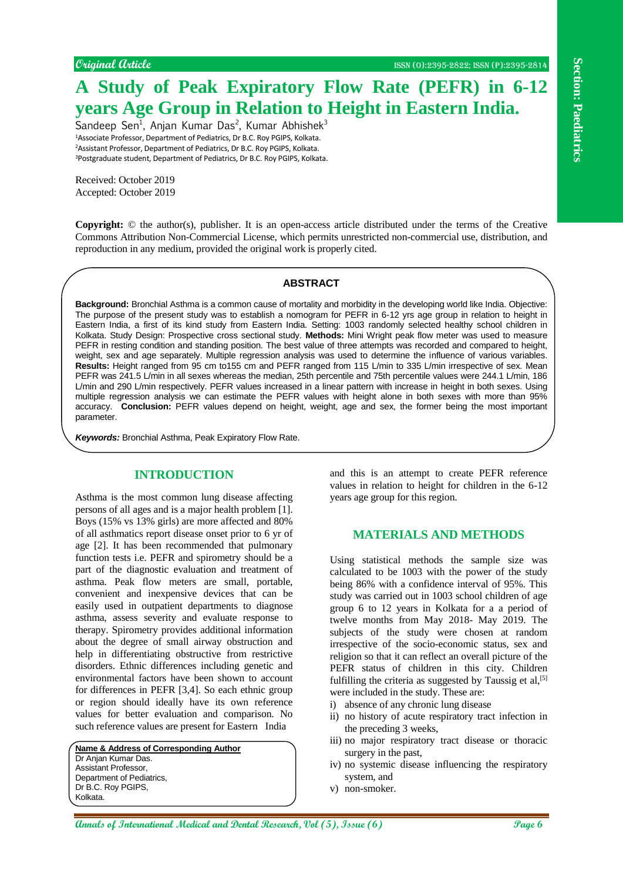# **A Study of Peak Expiratory Flow Rate (PEFR) in 6-12 years Age Group in Relation to Height in Eastern India.**

Sandeep Sen<sup>1</sup>, Anjan Kumar Das<sup>2</sup>, Kumar Abhishek<sup>3</sup> Associate Professor, Department of Pediatrics, Dr B.C. Roy PGIPS, Kolkata. Assistant Professor, Department of Pediatrics, Dr B.C. Roy PGIPS, Kolkata. Postgraduate student, Department of Pediatrics, Dr B.C. Roy PGIPS, Kolkata.

Received: October 2019 Accepted: October 2019

**Copyright:** © the author(s), publisher. It is an open-access article distributed under the terms of the Creative Commons Attribution Non-Commercial License, which permits unrestricted non-commercial use, distribution, and reproduction in any medium, provided the original work is properly cited.

#### **ABSTRACT**

**Algorithm Constrained Constrained Constrained Constrained Constrained Constrained Constrained Constrained Constrained Constrained Constrained Constrained Constrained Constrained Constrained Constrained Constrained Constr Background:** Bronchial Asthma is a common cause of mortality and morbidity in the developing world like India. Objective: The purpose of the present study was to establish a nomogram for PEFR in 6-12 yrs age group in relation to height in Eastern India, a first of its kind study from Eastern India. Setting: 1003 randomly selected healthy school children in Kolkata. Study Design: Prospective cross sectional study. **Methods:** Mini Wright peak flow meter was used to measure PEFR in resting condition and standing position. The best value of three attempts was recorded and compared to height, weight, sex and age separately. Multiple regression analysis was used to determine the influence of various variables. **Results:** Height ranged from 95 cm to155 cm and PEFR ranged from 115 L/min to 335 L/min irrespective of sex. Mean PEFR was 241.5 L/min in all sexes whereas the median, 25th percentile and 75th percentile values were 244.1 L/min, 186 L/min and 290 L/min respectively. PEFR values increased in a linear pattern with increase in height in both sexes. Using multiple regression analysis we can estimate the PEFR values with height alone in both sexes with more than 95% accuracy. **Conclusion:** PEFR values depend on height, weight, age and sex, the former being the most important parameter.

*Keywords:* Bronchial Asthma, Peak Expiratory Flow Rate.

## **INTRODUCTION**

Asthma is the most common lung disease affecting persons of all ages and is a major health problem [1]. Boys (15% vs 13% girls) are more affected and 80% of all asthmatics report disease onset prior to 6 yr of age [2]. It has been recommended that pulmonary function tests i.e. PEFR and spirometry should be a part of the diagnostic evaluation and treatment of asthma. Peak flow meters are small, portable, convenient and inexpensive devices that can be easily used in outpatient departments to diagnose asthma, assess severity and evaluate response to therapy. Spirometry provides additional information about the degree of small airway obstruction and help in differentiating obstructive from restrictive disorders. Ethnic differences including genetic and environmental factors have been shown to account for differences in PEFR [3,4]. So each ethnic group or region should ideally have its own reference values for better evaluation and comparison. No such reference values are present for Eastern India

**Name & Address of Corresponding Author** Dr Anjan Kumar Das. Assistant Professor, Department of Pediatrics, Dr B.C. Roy PGIPS, Kolkata.

and this is an attempt to create PEFR reference values in relation to height for children in the 6-12 years age group for this region.

### **MATERIALS AND METHODS**

Using statistical methods the sample size was calculated to be 1003 with the power of the study being 86% with a confidence interval of 95%. This study was carried out in 1003 school children of age group 6 to 12 years in Kolkata for a a period of twelve months from May 2018- May 2019. The subjects of the study were chosen at random irrespective of the socio-economic status, sex and religion so that it can reflect an overall picture of the PEFR status of children in this city. Children fulfilling the criteria as suggested by Taussig et  $al$ ,  $[5]$ were included in the study. These are:

- i) absence of any chronic lung disease
- ii) no history of acute respiratory tract infection in the preceding 3 weeks,
- iii) no major respiratory tract disease or thoracic surgery in the past,
- iv) no systemic disease influencing the respiratory system, and
- v) non-smoker.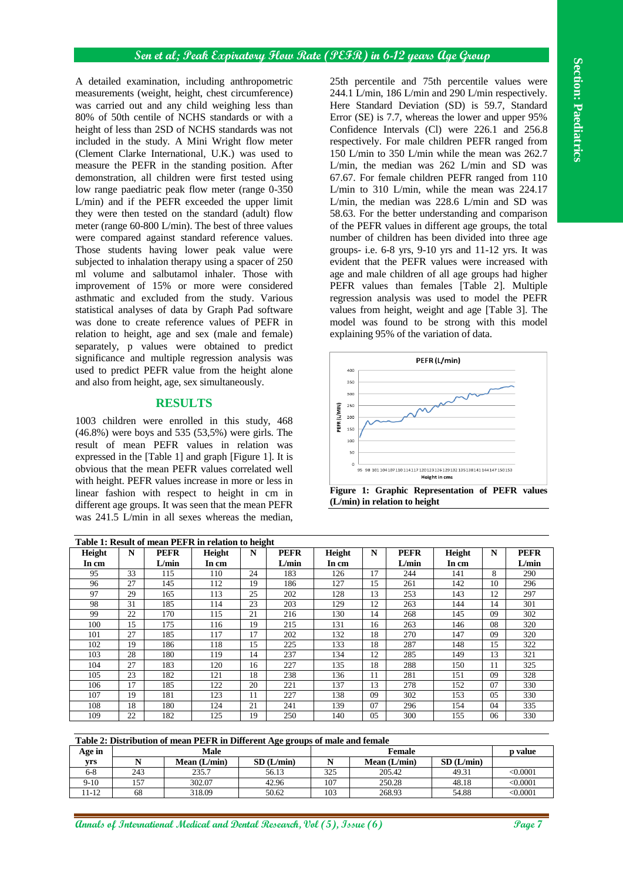## **RESULTS**



**(L/min) in relation to height**

|                                                                                                          |                       | A detailed examination, including anthropometric |                                                                               | 25th percentile and 75th percentile values were |                  |                                                    |                                                |                               |                                                                               |          |                      |  |
|----------------------------------------------------------------------------------------------------------|-----------------------|--------------------------------------------------|-------------------------------------------------------------------------------|-------------------------------------------------|------------------|----------------------------------------------------|------------------------------------------------|-------------------------------|-------------------------------------------------------------------------------|----------|----------------------|--|
| measurements (weight, height, chest circumference)                                                       |                       |                                                  |                                                                               |                                                 |                  | 244.1 L/min, 186 L/min and 290 L/min respectively. |                                                |                               |                                                                               |          |                      |  |
| was carried out and any child weighing less than                                                         |                       |                                                  |                                                                               |                                                 |                  | Here Standard Deviation (SD) is 59.7, Standard     |                                                |                               |                                                                               |          |                      |  |
| 80% of 50th centile of NCHS standards or with a                                                          |                       |                                                  |                                                                               |                                                 |                  | Error (SE) is 7.7, whereas the lower and upper 95% |                                                |                               |                                                                               |          |                      |  |
| height of less than 2SD of NCHS standards was not                                                        |                       |                                                  |                                                                               |                                                 |                  |                                                    | Confidence Intervals (Cl) were 226.1 and 256.8 |                               |                                                                               |          |                      |  |
| included in the study. A Mini Wright flow meter                                                          |                       |                                                  |                                                                               |                                                 |                  | respectively. For male children PEFR ranged from   |                                                |                               |                                                                               |          |                      |  |
| (Clement Clarke International, U.K.) was used to                                                         |                       |                                                  |                                                                               |                                                 |                  | 150 L/min to 350 L/min while the mean was 262.7    |                                                |                               |                                                                               |          |                      |  |
| measure the PEFR in the standing position. After                                                         |                       |                                                  |                                                                               |                                                 |                  | L/min, the median was 262 L/min and SD was         |                                                |                               |                                                                               |          |                      |  |
| demonstration, all children were first tested using<br>low range paediatric peak flow meter (range 0-350 |                       |                                                  |                                                                               |                                                 |                  | 67.67. For female children PEFR ranged from 110    |                                                |                               |                                                                               |          |                      |  |
|                                                                                                          |                       |                                                  |                                                                               |                                                 |                  |                                                    |                                                |                               | L/min to 310 L/min, while the mean was $224.17$                               |          |                      |  |
|                                                                                                          |                       |                                                  | L/min) and if the PEFR exceeded the upper limit                               |                                                 |                  |                                                    |                                                |                               | L/min, the median was 228.6 L/min and SD was                                  |          |                      |  |
|                                                                                                          |                       |                                                  | they were then tested on the standard (adult) flow                            |                                                 |                  |                                                    |                                                |                               | 58.63. For the better understanding and comparison                            |          |                      |  |
|                                                                                                          |                       |                                                  | meter (range 60-800 L/min). The best of three values                          |                                                 |                  |                                                    |                                                |                               | of the PEFR values in different age groups, the total                         |          |                      |  |
|                                                                                                          |                       |                                                  | were compared against standard reference values.                              |                                                 |                  |                                                    |                                                |                               | number of children has been divided into three age                            |          |                      |  |
|                                                                                                          |                       |                                                  | Those students having lower peak value were                                   |                                                 |                  |                                                    |                                                |                               | groups- i.e. 6-8 yrs, 9-10 yrs and 11-12 yrs. It was                          |          |                      |  |
|                                                                                                          |                       |                                                  | subjected to inhalation therapy using a spacer of 250                         |                                                 |                  |                                                    |                                                |                               | evident that the PEFR values were increased with                              |          |                      |  |
|                                                                                                          |                       |                                                  | ml volume and salbutamol inhaler. Those with                                  |                                                 |                  |                                                    |                                                |                               | age and male children of all age groups had higher                            |          |                      |  |
|                                                                                                          |                       |                                                  | improvement of 15% or more were considered                                    |                                                 |                  |                                                    |                                                |                               | PEFR values than females [Table 2]. Multiple                                  |          |                      |  |
|                                                                                                          |                       |                                                  | asthmatic and excluded from the study. Various                                |                                                 |                  |                                                    |                                                |                               | regression analysis was used to model the PEFR                                |          |                      |  |
|                                                                                                          |                       |                                                  | statistical analyses of data by Graph Pad software                            |                                                 |                  |                                                    |                                                |                               | values from height, weight and age [Table 3]. The                             |          |                      |  |
|                                                                                                          |                       |                                                  | was done to create reference values of PEFR in                                |                                                 |                  |                                                    |                                                |                               | model was found to be strong with this model                                  |          |                      |  |
|                                                                                                          |                       |                                                  | relation to height, age and sex (male and female)                             |                                                 |                  |                                                    |                                                |                               | explaining 95% of the variation of data.                                      |          |                      |  |
|                                                                                                          |                       |                                                  | separately, p values were obtained to predict                                 |                                                 |                  |                                                    |                                                |                               |                                                                               |          |                      |  |
| significance and multiple regression analysis was<br>used to predict PEFR value from the height alone    |                       |                                                  |                                                                               |                                                 |                  | PEFR (L/min)                                       |                                                |                               |                                                                               |          |                      |  |
|                                                                                                          |                       |                                                  |                                                                               |                                                 |                  | 400                                                |                                                |                               |                                                                               |          |                      |  |
|                                                                                                          |                       |                                                  | and also from height, age, sex simultaneously.                                |                                                 |                  | 350                                                |                                                |                               |                                                                               |          |                      |  |
|                                                                                                          |                       | <b>RESULTS</b>                                   |                                                                               |                                                 |                  | 300                                                |                                                |                               |                                                                               |          |                      |  |
|                                                                                                          |                       |                                                  |                                                                               |                                                 |                  | PEFR (L/MIN)<br>250                                |                                                |                               |                                                                               |          |                      |  |
|                                                                                                          |                       |                                                  | 1003 children were enrolled in this study, 468                                |                                                 |                  | 200                                                |                                                |                               |                                                                               |          |                      |  |
|                                                                                                          |                       |                                                  |                                                                               |                                                 |                  |                                                    |                                                |                               |                                                                               |          |                      |  |
|                                                                                                          |                       |                                                  | $(46.8\%)$ were boys and 535 (53,5%) were girls. The                          |                                                 |                  | 150                                                |                                                |                               |                                                                               |          |                      |  |
|                                                                                                          |                       |                                                  | result of mean PEFR values in relation was                                    |                                                 |                  | 100                                                |                                                |                               |                                                                               |          |                      |  |
|                                                                                                          |                       |                                                  | expressed in the [Table 1] and graph [Figure 1]. It is                        |                                                 |                  | 50                                                 |                                                |                               |                                                                               |          |                      |  |
|                                                                                                          |                       |                                                  | obvious that the mean PEFR values correlated well                             |                                                 |                  | $\Omega$                                           |                                                |                               | 95 98 101 104 107 110 114 117 120 123 126 129 132 135 138 141 144 147 150 153 |          |                      |  |
|                                                                                                          |                       |                                                  | with height. PEFR values increase in more or less in                          |                                                 |                  |                                                    |                                                |                               | Height in cms                                                                 |          |                      |  |
|                                                                                                          |                       |                                                  | linear fashion with respect to height in cm in                                |                                                 |                  |                                                    |                                                |                               | Figure 1: Graphic Representation of PEFR values                               |          |                      |  |
|                                                                                                          |                       |                                                  | different age groups. It was seen that the mean PEFR                          |                                                 |                  |                                                    |                                                | (L/min) in relation to height |                                                                               |          |                      |  |
|                                                                                                          |                       |                                                  | was 241.5 L/min in all sexes whereas the median,                              |                                                 |                  |                                                    |                                                |                               |                                                                               |          |                      |  |
|                                                                                                          |                       |                                                  | Table 1: Result of mean PEFR in relation to height                            |                                                 |                  |                                                    |                                                |                               |                                                                               |          |                      |  |
|                                                                                                          | N                     | <b>PEFR</b>                                      | Height                                                                        | N                                               | <b>PEFR</b>      | Height                                             | N                                              | <b>PEFR</b>                   | Height                                                                        | N        | <b>PEFR</b>          |  |
| Height<br>In cm                                                                                          |                       | L/min                                            | In cm                                                                         |                                                 | L/min            | In cm                                              |                                                | L/min                         | In cm                                                                         |          | L/min                |  |
| 95<br>96                                                                                                 | 33<br>$\overline{27}$ | 115<br>145                                       | 110<br>112                                                                    | 24<br>19                                        | 183<br>186       | 126<br>127                                         | 17                                             | 244<br>261                    | 141<br>142                                                                    | 8<br>10  | 290<br>296           |  |
| 97                                                                                                       | 29                    | 165                                              | 113                                                                           | $\overline{25}$                                 | 202              | 128                                                | 15<br>13                                       | 253                           | 143                                                                           | 12       | 297                  |  |
| 98                                                                                                       | 31                    | 185                                              | 114                                                                           | 23                                              | $\overline{203}$ | 129                                                | 12                                             | 263                           | 144                                                                           | 14       | 301                  |  |
| 99                                                                                                       | 22                    | 170                                              | 115                                                                           | 21                                              | 216              | 130                                                | 14                                             | 268                           | 145                                                                           | 09       | 302                  |  |
| 100                                                                                                      | 15                    | 175                                              | 116                                                                           | 19                                              | 215              | 131                                                | 16                                             | 263                           | 146                                                                           | 08       | 320                  |  |
| 101                                                                                                      | $\overline{27}$       | 185                                              | 117                                                                           | 17                                              | $\overline{202}$ | 132                                                | 18                                             | 270                           | 147                                                                           | 09       | 320                  |  |
| 102                                                                                                      | 19                    | 186                                              | 118                                                                           | 15                                              | 225              | 133                                                | 18                                             | 287                           | 148                                                                           | 15       | 322                  |  |
| 103<br>104                                                                                               | 28<br>27              | 180<br>183                                       | 119<br>120                                                                    | 14<br>16                                        | 237<br>227       | 134<br>135                                         | 12<br>18                                       | 285<br>288                    | 149<br>150                                                                    | 13<br>11 | 321<br>325           |  |
| 105                                                                                                      | $23\,$                | 182                                              | 121                                                                           | 18                                              | 238              | 136                                                | 11                                             | 281                           | 151                                                                           | 09       | 328                  |  |
| 106                                                                                                      | $17\,$                | 185                                              | 122                                                                           | $20\,$                                          | 221              | 137                                                | 13                                             | 278                           | 152                                                                           | 07       | 330                  |  |
| 107                                                                                                      | 19                    | 181                                              | 123                                                                           | 11                                              | 227              | 138                                                | 09                                             | 302                           | 153                                                                           | 05       | 330                  |  |
| 108                                                                                                      | 18                    | 180                                              | 124                                                                           | 21                                              | 241              | 139                                                | 07                                             | 296                           | 154                                                                           | 04       | 335                  |  |
| 109                                                                                                      | $\overline{22}$       | 182                                              | 125                                                                           | 19                                              | 250              | 140                                                | 05                                             | 300                           | 155                                                                           | 06       | 330                  |  |
|                                                                                                          |                       |                                                  |                                                                               |                                                 |                  |                                                    |                                                |                               |                                                                               |          |                      |  |
|                                                                                                          |                       |                                                  | Table 2: Distribution of mean PEFR in Different Age groups of male and female |                                                 |                  |                                                    |                                                |                               |                                                                               |          |                      |  |
| yrs                                                                                                      | $\overline{\bf N}$    |                                                  | Male<br>Mean (L/min)                                                          |                                                 | SD(L/min)        | $\overline{\bf N}$                                 |                                                | Female<br>Mean (L/min)        | SD (L/min)                                                                    |          | p value              |  |
| Age in<br>$6 - 8$                                                                                        | 243                   |                                                  | 235.7                                                                         |                                                 | 56.13            | 325                                                |                                                | 205.42                        | 49.31                                                                         |          | < 0.0001             |  |
| $9-10$<br>$11 - 12$                                                                                      | 157<br>68             |                                                  | 302.07<br>318.09                                                              |                                                 | 42.96<br>50.62   | 107<br>103                                         |                                                | 250.28<br>268.93              | 48.18<br>54.88                                                                |          | < 0.0001<br>< 0.0001 |  |

#### **Table 2: Distribution of mean PEFR in Different Age groups of male and female**

| Age in  |     | Male         |           |     | <b>Female</b>  |           | <b>p</b> value |
|---------|-----|--------------|-----------|-----|----------------|-----------|----------------|
| vrs     |     | Mean (L/min) | SD(L/min) |     | Mean $(L/min)$ | SD(L/min) |                |
| $6 - 8$ | 243 | 235.7        | 56.13     | 325 | 205.42         | 49.31     | $<\!\!0.0001$  |
| $9-10$  | 157 | 302.07       | 42.96     | 107 | 250.28         | 48.18     | < 0.0001       |
| 11-12   | 68  | 318.09       | 50.62     | 103 | 268.93         | 54.88     | < 0.0001       |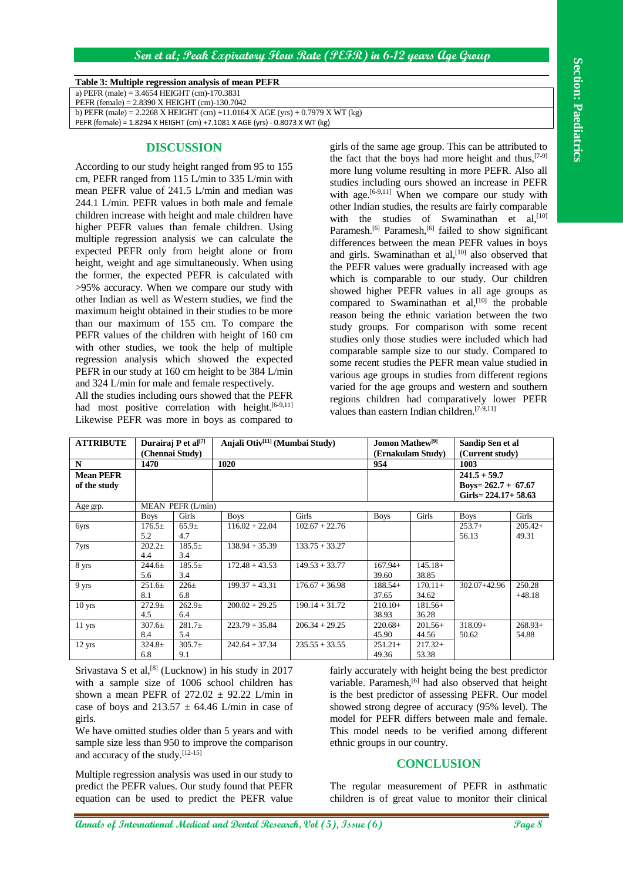## **Sen et al; Peak Expiratory Flow Rate (PEFR) in 6-12 years Age Group**

#### **Table 3: Multiple regression analysis of mean PEFR**

## **DISCUSSION**

|                                                |                                               |                                 | Table 3: Multiple regression analysis of mean PEFR                                                          |                                                                                |                                                                                                                                                                                                                                        |                    |                                                                                                                        |                    |  |  |
|------------------------------------------------|-----------------------------------------------|---------------------------------|-------------------------------------------------------------------------------------------------------------|--------------------------------------------------------------------------------|----------------------------------------------------------------------------------------------------------------------------------------------------------------------------------------------------------------------------------------|--------------------|------------------------------------------------------------------------------------------------------------------------|--------------------|--|--|
| a) PEFR (male) = $3.4654$ HEIGHT (cm)-170.3831 |                                               |                                 |                                                                                                             |                                                                                |                                                                                                                                                                                                                                        |                    |                                                                                                                        |                    |  |  |
| PEFR (female) = 2.8390 X HEIGHT (cm)-130.7042  |                                               |                                 |                                                                                                             | b) PEFR (male) = 2.2268 X HEIGHT (cm) +11.0164 X AGE (yrs) + 0.7979 X WT (kg)  |                                                                                                                                                                                                                                        |                    |                                                                                                                        |                    |  |  |
|                                                |                                               |                                 | PEFR (female) = 1.8294 X HEIGHT (cm) +7.1081 X AGE (yrs) - 0.8073 X WT (kg)                                 |                                                                                |                                                                                                                                                                                                                                        |                    |                                                                                                                        |                    |  |  |
|                                                |                                               | <b>DISCUSSION</b>               |                                                                                                             |                                                                                | girls of the same age group. This can be attributed to<br>the fact that the boys had more height and thus, $[7-9]$                                                                                                                     |                    |                                                                                                                        |                    |  |  |
|                                                |                                               |                                 | According to our study height ranged from 95 to 155<br>cm, PEFR ranged from 115 L/min to 335 L/min with     |                                                                                |                                                                                                                                                                                                                                        |                    | more lung volume resulting in more PEFR. Also all                                                                      |                    |  |  |
|                                                |                                               |                                 | mean PEFR value of 241.5 L/min and median was                                                               |                                                                                | studies including ours showed an increase in PEFR<br>with age. <sup>[6-9,11]</sup> When we compare our study with<br>other Indian studies, the results are fairly comparable<br>with the studies of Swaminathan et al, <sup>[10]</sup> |                    |                                                                                                                        |                    |  |  |
|                                                |                                               |                                 | 244.1 L/min. PEFR values in both male and female<br>children increase with height and male children have    |                                                                                |                                                                                                                                                                                                                                        |                    |                                                                                                                        |                    |  |  |
|                                                |                                               |                                 | higher PEFR values than female children. Using                                                              |                                                                                |                                                                                                                                                                                                                                        |                    | Paramesh. <sup>[6]</sup> Paramesh, <sup>[6]</sup> failed to show significant                                           |                    |  |  |
|                                                |                                               |                                 | multiple regression analysis we can calculate the<br>expected PEFR only from height alone or from           |                                                                                |                                                                                                                                                                                                                                        |                    | differences between the mean PEFR values in boys                                                                       |                    |  |  |
|                                                |                                               |                                 | height, weight and age simultaneously. When using                                                           |                                                                                |                                                                                                                                                                                                                                        |                    | and girls. Swaminathan et al, <sup>[10]</sup> also observed that<br>the PEFR values were gradually increased with age  |                    |  |  |
|                                                |                                               |                                 | the former, the expected PEFR is calculated with                                                            |                                                                                |                                                                                                                                                                                                                                        |                    | which is comparable to our study. Our children                                                                         |                    |  |  |
|                                                |                                               |                                 | >95% accuracy. When we compare our study with                                                               |                                                                                |                                                                                                                                                                                                                                        |                    | showed higher PEFR values in all age groups as                                                                         |                    |  |  |
|                                                |                                               |                                 | other Indian as well as Western studies, we find the<br>maximum height obtained in their studies to be more |                                                                                |                                                                                                                                                                                                                                        |                    | compared to Swaminathan et al, <sup>[10]</sup> the probable                                                            |                    |  |  |
|                                                |                                               |                                 | than our maximum of 155 cm. To compare the                                                                  |                                                                                |                                                                                                                                                                                                                                        |                    | reason being the ethnic variation between the two<br>study groups. For comparison with some recent                     |                    |  |  |
|                                                |                                               |                                 | PEFR values of the children with height of 160 cm                                                           |                                                                                |                                                                                                                                                                                                                                        |                    | studies only those studies were included which had                                                                     |                    |  |  |
|                                                |                                               |                                 | with other studies, we took the help of multiple                                                            |                                                                                |                                                                                                                                                                                                                                        |                    | comparable sample size to our study. Compared to                                                                       |                    |  |  |
|                                                |                                               |                                 | regression analysis which showed the expected                                                               |                                                                                |                                                                                                                                                                                                                                        |                    | some recent studies the PEFR mean value studied in                                                                     |                    |  |  |
|                                                |                                               |                                 | PEFR in our study at 160 cm height to be 384 L/min<br>and 324 L/min for male and female respectively.       |                                                                                |                                                                                                                                                                                                                                        |                    | various age groups in studies from different regions                                                                   |                    |  |  |
|                                                |                                               |                                 | All the studies including ours showed that the PEFR                                                         |                                                                                |                                                                                                                                                                                                                                        |                    | varied for the age groups and western and southern<br>regions children had comparatively lower PEFR                    |                    |  |  |
|                                                |                                               |                                 | had most positive correlation with height. <sup>[6-9,11]</sup>                                              |                                                                                | values than eastern Indian children. <sup>[7-9,11]</sup>                                                                                                                                                                               |                    |                                                                                                                        |                    |  |  |
|                                                |                                               |                                 | Likewise PEFR was more in boys as compared to                                                               |                                                                                |                                                                                                                                                                                                                                        |                    |                                                                                                                        |                    |  |  |
| <b>ATTRIBUTE</b>                               |                                               | Durairaj P et al <sup>[7]</sup> | Anjali Otiv <sup>[11]</sup> (Mumbai Study)                                                                  |                                                                                | Jomon Mathew <sup>[9]</sup>                                                                                                                                                                                                            |                    | Sandip Sen et al                                                                                                       |                    |  |  |
| N                                              | (Chennai Study)<br>1470                       |                                 | 1020                                                                                                        |                                                                                | 954                                                                                                                                                                                                                                    | (Ernakulam Study)  | (Current study)<br>1003                                                                                                |                    |  |  |
| <b>Mean PEFR</b>                               |                                               |                                 |                                                                                                             |                                                                                | $241.5 + 59.7$                                                                                                                                                                                                                         |                    |                                                                                                                        |                    |  |  |
| of the study<br>Age grp.                       |                                               | MEAN PEFR (L/min)               |                                                                                                             |                                                                                |                                                                                                                                                                                                                                        |                    | Boys= $262.7 + 67.67$<br>Girls=224.17+58.63                                                                            |                    |  |  |
|                                                | <b>Boys</b>                                   | Girls                           | <b>Boys</b>                                                                                                 | Girls                                                                          | <b>Boys</b>                                                                                                                                                                                                                            | Girls              | <b>Boys</b>                                                                                                            | Girls              |  |  |
| 6yrs                                           | 176.5±<br>5.2                                 | $65.9 \pm$<br>4.7               | $116.02 + 22.04$                                                                                            | $102.67 + 22.76$                                                               |                                                                                                                                                                                                                                        |                    | $253.7+$<br>56.13                                                                                                      | $205.42+$<br>49.31 |  |  |
| 7yrs                                           | $202.2+$<br>4.4                               | $185.5+$<br>3.4                 | $138.94 + 35.39$                                                                                            | $133.75 + 33.27$                                                               |                                                                                                                                                                                                                                        |                    |                                                                                                                        |                    |  |  |
| 8 yrs                                          | $244.6 \pm$<br>5.6                            | 185.5±<br>$3.4\,$               | $172.48 + 43.53$                                                                                            | $149.53 + 33.77$                                                               | $167.94+$<br>39.60                                                                                                                                                                                                                     | $145.18+$<br>38.85 |                                                                                                                        |                    |  |  |
| 9 yrs                                          | $251.6 \pm$<br>8.1                            | $226 +$<br>6.8                  | $199.37 + 43.31$                                                                                            | $176.67 + 36.98$                                                               | $188.54+$<br>37.65                                                                                                                                                                                                                     | $170.11+$<br>34.62 | $302.07 + 42.96$                                                                                                       | 250.28<br>$+48.18$ |  |  |
| 10 <sub>yrs</sub>                              | $272.9+$                                      | $262.9+$                        | $200.02 + 29.25$                                                                                            | $190.14 + 31.72$                                                               | $210.10+$                                                                                                                                                                                                                              | $181.56+$          |                                                                                                                        |                    |  |  |
| 11 yrs                                         | 4.5<br>$307.6 +$                              | 6.4<br>$281.7+$                 | $223.79 + 35.84$                                                                                            | $206.34 + 29.25$                                                               | 38.93<br>$220.68+$                                                                                                                                                                                                                     | 36.28<br>$201.56+$ | $318.09+$                                                                                                              | $268.93+$          |  |  |
| 12 yrs                                         | 8.4<br>$324.8 \pm$                            | 5.4<br>$305.7\pm$               | $242.64 + 37.34$                                                                                            | $235.55 + 33.55$                                                               | 45.90<br>$251.21+$                                                                                                                                                                                                                     | 44.56<br>$217.32+$ | 50.62                                                                                                                  | 54.88              |  |  |
|                                                | 6.8                                           | 9.1                             |                                                                                                             |                                                                                | 49.36                                                                                                                                                                                                                                  | 53.38              |                                                                                                                        |                    |  |  |
|                                                |                                               |                                 | Srivastava S et al, $[8]$ (Lucknow) in his study in 2017                                                    |                                                                                |                                                                                                                                                                                                                                        |                    | fairly accurately with height being the best predictor                                                                 |                    |  |  |
|                                                |                                               |                                 | with a sample size of 1006 school children has<br>shown a mean PEFR of $272.02 \pm 92.22$ L/min in          |                                                                                |                                                                                                                                                                                                                                        |                    | variable. Paramesh, <sup>[6]</sup> had also observed that height<br>is the best predictor of assessing PEFR. Our model |                    |  |  |
|                                                |                                               |                                 | case of boys and 213.57 $\pm$ 64.46 L/min in case of                                                        |                                                                                |                                                                                                                                                                                                                                        |                    | showed strong degree of accuracy (95% level). The                                                                      |                    |  |  |
| girls.                                         |                                               |                                 |                                                                                                             |                                                                                |                                                                                                                                                                                                                                        |                    | model for PEFR differs between male and female.                                                                        |                    |  |  |
|                                                |                                               |                                 | We have omitted studies older than 5 years and with                                                         |                                                                                |                                                                                                                                                                                                                                        |                    | This model needs to be verified among different                                                                        |                    |  |  |
|                                                | and accuracy of the study. <sup>[12-15]</sup> |                                 | sample size less than 950 to improve the comparison                                                         |                                                                                | ethnic groups in our country.                                                                                                                                                                                                          |                    |                                                                                                                        |                    |  |  |
|                                                |                                               |                                 |                                                                                                             |                                                                                |                                                                                                                                                                                                                                        | <b>CONCLUSION</b>  |                                                                                                                        |                    |  |  |
|                                                |                                               |                                 |                                                                                                             |                                                                                |                                                                                                                                                                                                                                        |                    |                                                                                                                        |                    |  |  |
|                                                |                                               |                                 | Multiple regression analysis was used in our study to<br>predict the PEFR values. Our study found that PEFR |                                                                                |                                                                                                                                                                                                                                        |                    | The regular measurement of PEFR in asthmatic                                                                           |                    |  |  |
|                                                |                                               |                                 | equation can be used to predict the PEFR value                                                              |                                                                                |                                                                                                                                                                                                                                        |                    | children is of great value to monitor their clinical                                                                   |                    |  |  |
|                                                |                                               |                                 |                                                                                                             | <b>annals of International Medical and Dental Research, Vol (5), Issue (6)</b> |                                                                                                                                                                                                                                        |                    |                                                                                                                        | Page 8             |  |  |

## **CONCLUSION**